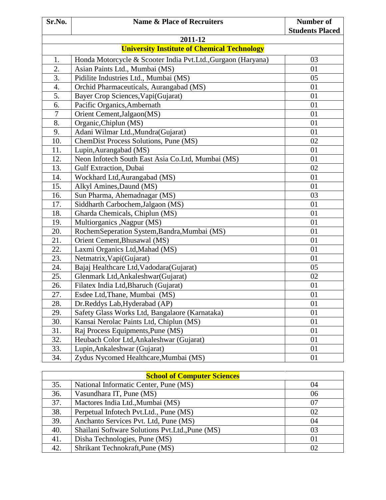| Sr.No.                                             | <b>Name &amp; Place of Recruiters</b>                        | <b>Number of</b><br><b>Students Placed</b> |  |  |
|----------------------------------------------------|--------------------------------------------------------------|--------------------------------------------|--|--|
| 2011-12                                            |                                                              |                                            |  |  |
| <b>University Institute of Chemical Technology</b> |                                                              |                                            |  |  |
| 1.                                                 | Honda Motorcycle & Scooter India Pvt.Ltd., Gurgaon (Haryana) | 03                                         |  |  |
| 2.                                                 | Asian Paints Ltd., Mumbai (MS)                               | 01                                         |  |  |
| 3.                                                 | Pidilite Industries Ltd., Mumbai (MS)                        | 05                                         |  |  |
| 4.                                                 | Orchid Pharmaceuticals, Aurangabad (MS)                      | 01                                         |  |  |
| 5.                                                 | Bayer Crop Sciences, Vapi(Gujarat)                           | 01                                         |  |  |
| 6.                                                 | Pacific Organics, Ambernath                                  | 01                                         |  |  |
| 7                                                  | Orient Cement, Jalgaon(MS)                                   | 01                                         |  |  |
| 8.                                                 | Organic, Chiplun (MS)                                        | 01                                         |  |  |
| 9.                                                 | Adani Wilmar Ltd., Mundra (Gujarat)                          | 01                                         |  |  |
| 10.                                                | ChemDist Process Solutions, Pune (MS)                        | 02                                         |  |  |
| 11.                                                | Lupin, Aurangabad (MS)                                       | 01                                         |  |  |
| 12.                                                | Neon Infotech South East Asia Co.Ltd, Mumbai (MS)            | 01                                         |  |  |
| 13.                                                | <b>Gulf Extraction</b> , Dubai                               | 02                                         |  |  |
| 14.                                                | Wockhard Ltd, Aurangabad (MS)                                | 01                                         |  |  |
| 15.                                                | Alkyl Amines, Daund (MS)                                     | 01                                         |  |  |
| 16.                                                | Sun Pharma, Ahemadnagar (MS)                                 | 03                                         |  |  |
| 17.                                                | Siddharth Carbochem, Jalgaon (MS)                            | 01                                         |  |  |
| 18.                                                | Gharda Chemicals, Chiplun (MS)                               | 01                                         |  |  |
| 19.                                                | Multiorganics , Nagpur (MS)                                  | 01                                         |  |  |
| 20.                                                | RochemSeperation System, Bandra, Mumbai (MS)                 | 01                                         |  |  |
| 21.                                                | Orient Cement, Bhusawal (MS)                                 | 01                                         |  |  |
| 22.                                                | Laxmi Organics Ltd, Mahad (MS)                               | 01                                         |  |  |
| 23.                                                | Netmatrix, Vapi(Gujarat)                                     | 01                                         |  |  |
| 24.                                                | Bajaj Healthcare Ltd, Vadodara (Gujarat)                     | 05                                         |  |  |
| 25.                                                | Glenmark Ltd, Ankaleshwar (Gujarat)                          | 02                                         |  |  |
| 26.                                                | Filatex India Ltd, Bharuch (Gujarat)                         | 01                                         |  |  |
| 27.                                                | Esdee Ltd, Thane, Mumbai (MS)                                | 01                                         |  |  |
| 28.                                                | Dr.Reddys Lab, Hyderabad (AP)                                | 01                                         |  |  |
| 29.                                                | Safety Glass Works Ltd, Bangalaore (Karnataka)               | 01                                         |  |  |
| 30.                                                | Kansai Nerolac Paints Ltd, Chiplun (MS)                      | 01                                         |  |  |
| 31.                                                | Raj Process Equipments, Pune (MS)                            | 01                                         |  |  |
| 32.                                                | Heubach Color Ltd, Ankaleshwar (Gujarat)                     | 01                                         |  |  |
| 33.                                                | Lupin, Ankaleshwar (Gujarat)                                 | 01                                         |  |  |
| 34.                                                | Zydus Nycomed Healthcare, Mumbai (MS)                        | 01                                         |  |  |

| <b>School of Computer Sciences</b> |                                                  |    |  |
|------------------------------------|--------------------------------------------------|----|--|
| 35.                                | National Informatic Center, Pune (MS)            | 04 |  |
| 36.                                | Vasundhara IT, Pune (MS)                         | 06 |  |
| 37.                                | Mactores India Ltd., Mumbai (MS)                 | 07 |  |
| 38.                                | Perpetual Infotech Pvt.Ltd., Pune (MS)           | 02 |  |
| 39.                                | Anchanto Services Pvt. Ltd, Pune (MS)            | 04 |  |
| 40.                                | Shailani Software Solutions Pvt. Ltd., Pune (MS) | 03 |  |
| 41.                                | Disha Technologies, Pune (MS)                    | 01 |  |
| 42.                                | Shrikant Technokraft, Pune (MS)                  | 02 |  |